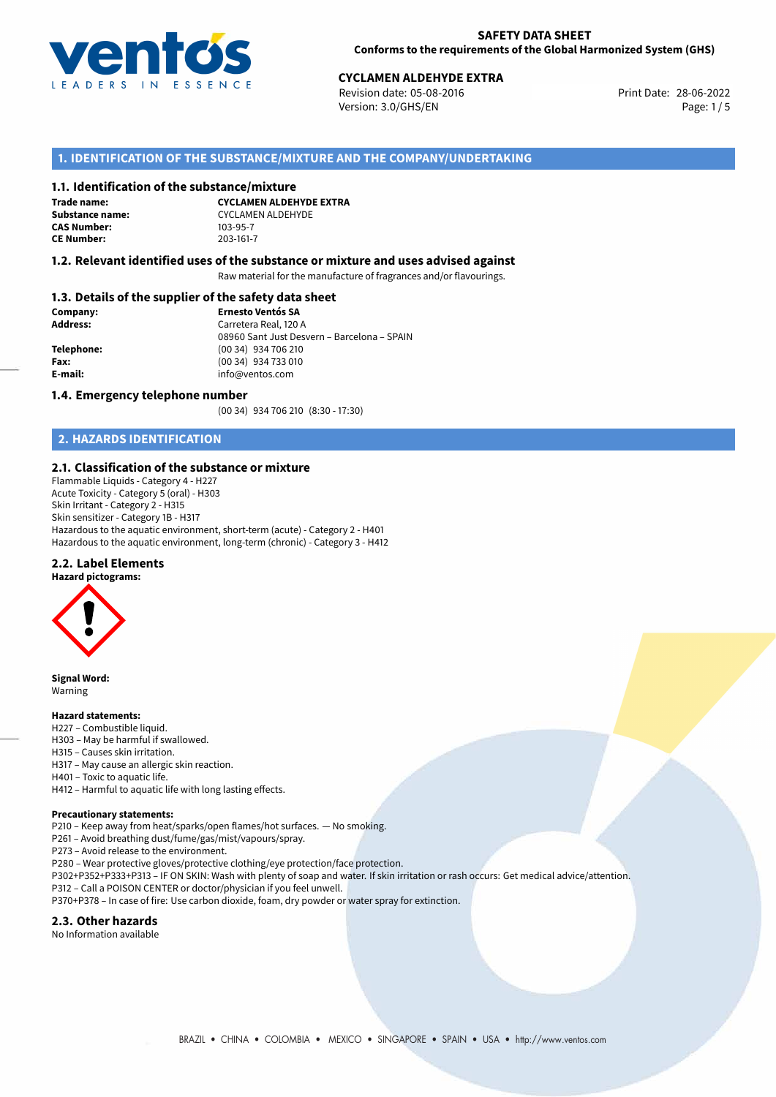

Revision date: 05-08-2016 Version: 3.0/GHS/EN Page: 1/5

## **1. IDENTIFICATION OF THE SUBSTANCE/MIXTURE AND THE COMPANY/UNDERTAKING**

#### **1.1. Identification of the substance/mixture**

**Trade name: CAS Number: CE Number:** 203-161-7

**CYCLAMEN ALDEHYDE EXTRA Substance name:** CYCLAMEN ALDEHYDE<br> **CAS Number:** 103-95-7

#### **1.2. Relevant identified uses of the substance or mixture and uses advised against**

Raw material for the manufacture of fragrances and/or flavourings.

### **1.3. Details of the supplier of the safety data sheet**

| Company:   | <b>Ernesto Ventós SA</b>                    |  |
|------------|---------------------------------------------|--|
| Address:   | Carretera Real, 120 A                       |  |
|            | 08960 Sant Just Desvern - Barcelona - SPAIN |  |
| Telephone: | (00 34) 934 706 210                         |  |
| Fax:       | (00 34) 934 733 010                         |  |
| E-mail:    | info@ventos.com                             |  |
|            |                                             |  |

#### **1.4. Emergency telephone number**

(00 34) 934 706 210 (8:30 - 17:30)

## **2. HAZARDS IDENTIFICATION**

### **2.1. Classification of the substance or mixture**

Flammable Liquids - Category 4 - H227 Acute Toxicity - Category 5 (oral) - H303 Skin Irritant - Category 2 - H315 Skin sensitizer - Category 1B - H317 Hazardous to the aquatic environment, short-term (acute) - Category 2 - H401 Hazardous to the aquatic environment, long-term (chronic) - Category 3 - H412

### **2.2. Label Elements**

**Hazard pictograms:**



**Signal Word:** Warning

#### **Hazard statements:**

- H227 Combustible liquid.
- H303 May be harmful if swallowed.
- H315 Causes skin irritation.
- H317 May cause an allergic skin reaction.
- H401 Toxic to aquatic life.
- H412 Harmful to aquatic life with long lasting effects.

#### **Precautionary statements:**

P210 – Keep away from heat/sparks/open flames/hot surfaces. — No smoking.

P261 – Avoid breathing dust/fume/gas/mist/vapours/spray.

P273 – Avoid release to the environment.

P280 – Wear protective gloves/protective clothing/eye protection/face protection.

P302+P352+P333+P313 – IF ON SKIN: Wash with plenty of soap and water. If skin irritation or rash occurs: Get medical advice/attention.

- P312 Call a POISON CENTER or doctor/physician if you feel unwell.
- P370+P378 In case of fire: Use carbon dioxide, foam, dry powder or water spray for extinction.

#### **2.3. Other hazards**

No Information available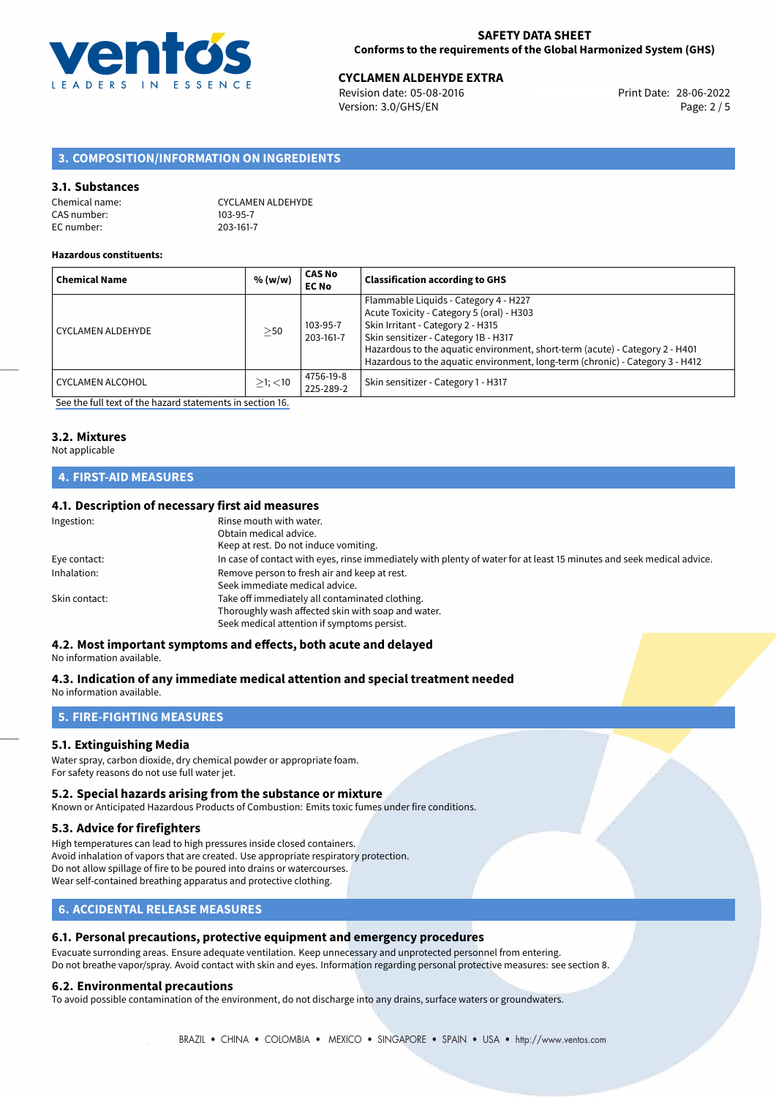

Revision date: 05-08-2016 Version: 3.0/GHS/EN Page: 2 / 5

## **3. COMPOSITION/INFORMATION ON INGREDIENTS**

#### **3.1. Substances**

| Chemical name: | <b>CYCLAMEN ALDEHYDE</b> |
|----------------|--------------------------|
| CAS number:    | 103-95-7                 |
| EC number: l   | 203-161-7                |

#### **Hazardous constituents:**

| <b>Chemical Name</b>    | % (w/w)       | CAS No<br><b>EC No</b> | <b>Classification according to GHS</b>                                                                                                                                                                                                                                                                                           |
|-------------------------|---------------|------------------------|----------------------------------------------------------------------------------------------------------------------------------------------------------------------------------------------------------------------------------------------------------------------------------------------------------------------------------|
| CYCLAMEN ALDEHYDE       | $\geq$ 50     | 103-95-7<br>203-161-7  | Flammable Liquids - Category 4 - H227<br>Acute Toxicity - Category 5 (oral) - H303<br>Skin Irritant - Category 2 - H315<br>Skin sensitizer - Category 1B - H317<br>Hazardous to the aquatic environment, short-term (acute) - Category 2 - H401<br>Hazardous to the aquatic environment, long-term (chronic) - Category 3 - H412 |
| <b>CYCLAMEN ALCOHOL</b> | $>1$ ; $<$ 10 | 4756-19-8<br>225-289-2 | Skin sensitizer - Category 1 - H317                                                                                                                                                                                                                                                                                              |

[See the full text of the hazard statements in section 16.](#page-4-0)

# **3.2. Mixtures**

#### Not applicable

## **4. FIRST-AID MEASURES**

## **4.1. Description of necessary first aid measures**

| Ingestion:    | Rinse mouth with water.                                                                                               |
|---------------|-----------------------------------------------------------------------------------------------------------------------|
|               | Obtain medical advice.                                                                                                |
|               | Keep at rest. Do not induce vomiting.                                                                                 |
| Eye contact:  | In case of contact with eyes, rinse immediately with plenty of water for at least 15 minutes and seek medical advice. |
| Inhalation:   | Remove person to fresh air and keep at rest.                                                                          |
|               | Seek immediate medical advice.                                                                                        |
| Skin contact: | Take off immediately all contaminated clothing.                                                                       |
|               | Thoroughly wash affected skin with soap and water.                                                                    |
|               | Seek medical attention if symptoms persist.                                                                           |

## **4.2. Most important symptoms and effects, both acute and delayed**

No information available.

### **4.3. Indication of any immediate medical attention and special treatment needed**

No information available.

## **5. FIRE-FIGHTING MEASURES**

### **5.1. Extinguishing Media**

Water spray, carbon dioxide, dry chemical powder or appropriate foam. For safety reasons do not use full water jet.

#### **5.2. Special hazards arising from the substance or mixture**

Known or Anticipated Hazardous Products of Combustion: Emits toxic fumes under fire conditions.

#### **5.3. Advice for firefighters**

High temperatures can lead to high pressures inside closed containers. Avoid inhalation of vapors that are created. Use appropriate respiratory protection. Do not allow spillage of fire to be poured into drains or watercourses. Wear self-contained breathing apparatus and protective clothing.

## **6. ACCIDENTAL RELEASE MEASURES**

### **6.1. Personal precautions, protective equipment and emergency procedures**

Evacuate surronding areas. Ensure adequate ventilation. Keep unnecessary and unprotected personnel from entering. Do not breathe vapor/spray. Avoid contact with skin and eyes. Information regarding personal protective measures: see section 8.

#### **6.2. Environmental precautions**

To avoid possible contamination of the environment, do not discharge into any drains, surface waters or groundwaters.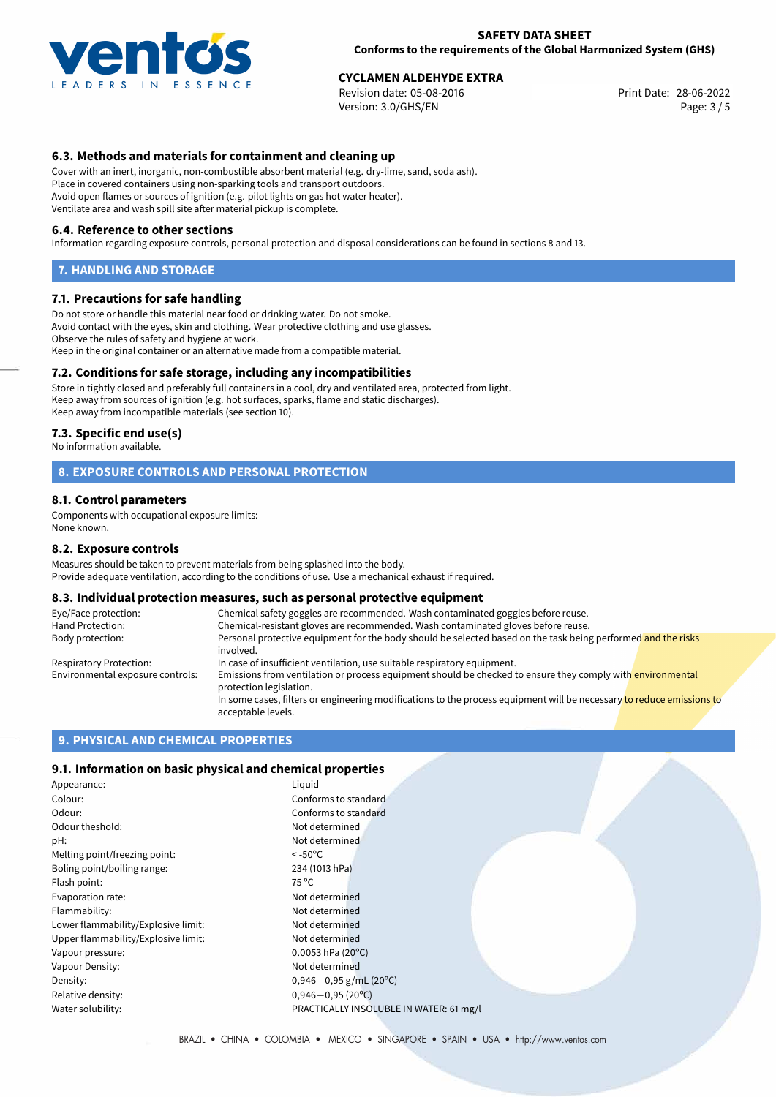

Revision date: 05-08-2016 Version: 3.0/GHS/EN Page: 3 / 5

## **6.3. Methods and materials for containment and cleaning up**

Cover with an inert, inorganic, non-combustible absorbent material (e.g. dry-lime, sand, soda ash). Place in covered containers using non-sparking tools and transport outdoors. Avoid open flames or sources of ignition (e.g. pilot lights on gas hot water heater). Ventilate area and wash spill site after material pickup is complete.

#### **6.4. Reference to other sections**

Information regarding exposure controls, personal protection and disposal considerations can be found in sections 8 and 13.

#### **7. HANDLING AND STORAGE**

#### **7.1. Precautions for safe handling**

Do not store or handle this material near food or drinking water. Do not smoke. Avoid contact with the eyes, skin and clothing. Wear protective clothing and use glasses. Observe the rules of safety and hygiene at work. Keep in the original container or an alternative made from a compatible material.

### **7.2. Conditions for safe storage, including any incompatibilities**

Store in tightly closed and preferably full containers in a cool, dry and ventilated area, protected from light. Keep away from sources of ignition (e.g. hot surfaces, sparks, flame and static discharges). Keep away from incompatible materials (see section 10).

#### **7.3. Specific end use(s)**

No information available.

### **8. EXPOSURE CONTROLS AND PERSONAL PROTECTION**

#### **8.1. Control parameters**

Components with occupational exposure limits: None known.

#### **8.2. Exposure controls**

Measures should be taken to prevent materials from being splashed into the body. Provide adequate ventilation, according to the conditions of use. Use a mechanical exhaust if required.

## **8.3. Individual protection measures, such as personal protective equipment**

| Eye/Face protection:             | Chemical safety goggles are recommended. Wash contaminated goggles before reuse.                                                            |  |  |
|----------------------------------|---------------------------------------------------------------------------------------------------------------------------------------------|--|--|
| Hand Protection:                 | Chemical-resistant gloves are recommended. Wash contaminated gloves before reuse.                                                           |  |  |
| Body protection:                 | Personal protective equipment for the body should be selected based on the task being performed and the risks<br>involved.                  |  |  |
| Respiratory Protection:          | In case of insufficient ventilation, use suitable respiratory equipment.                                                                    |  |  |
| Environmental exposure controls: | Emissions from ventilation or process equipment should be checked to ensure they comply with environmental<br>protection legislation.       |  |  |
|                                  | In some cases, filters or engineering modifications to the process equipment will be necessary to reduce emissions to<br>acceptable levels. |  |  |

## **9. PHYSICAL AND CHEMICAL PROPERTIES**

#### **9.1. Information on basic physical and chemical properties**

| Appearance:                         | Liquid                                  |
|-------------------------------------|-----------------------------------------|
| Colour:                             | Conforms to standard                    |
| Odour:                              | Conforms to standard                    |
| Odour theshold:                     | Not determined                          |
| pH:                                 | Not determined                          |
| Melting point/freezing point:       | $< -50^{\circ}$ C                       |
| Boling point/boiling range:         | 234 (1013 hPa)                          |
| Flash point:                        | 75 °C                                   |
| Evaporation rate:                   | Not determined                          |
| Flammability:                       | Not determined                          |
| Lower flammability/Explosive limit: | Not determined                          |
| Upper flammability/Explosive limit: | Not determined                          |
| Vapour pressure:                    | $0.0053$ hPa (20°C)                     |
| Vapour Density:                     | Not determined                          |
| Density:                            | $0,946 - 0,95$ g/mL (20 <sup>o</sup> C) |
| Relative density:                   | $0,946 - 0,95(20^{\circ}C)$             |
| Water solubility:                   | PRACTICALLY INSOLUBLE IN WATER: 61 mg/l |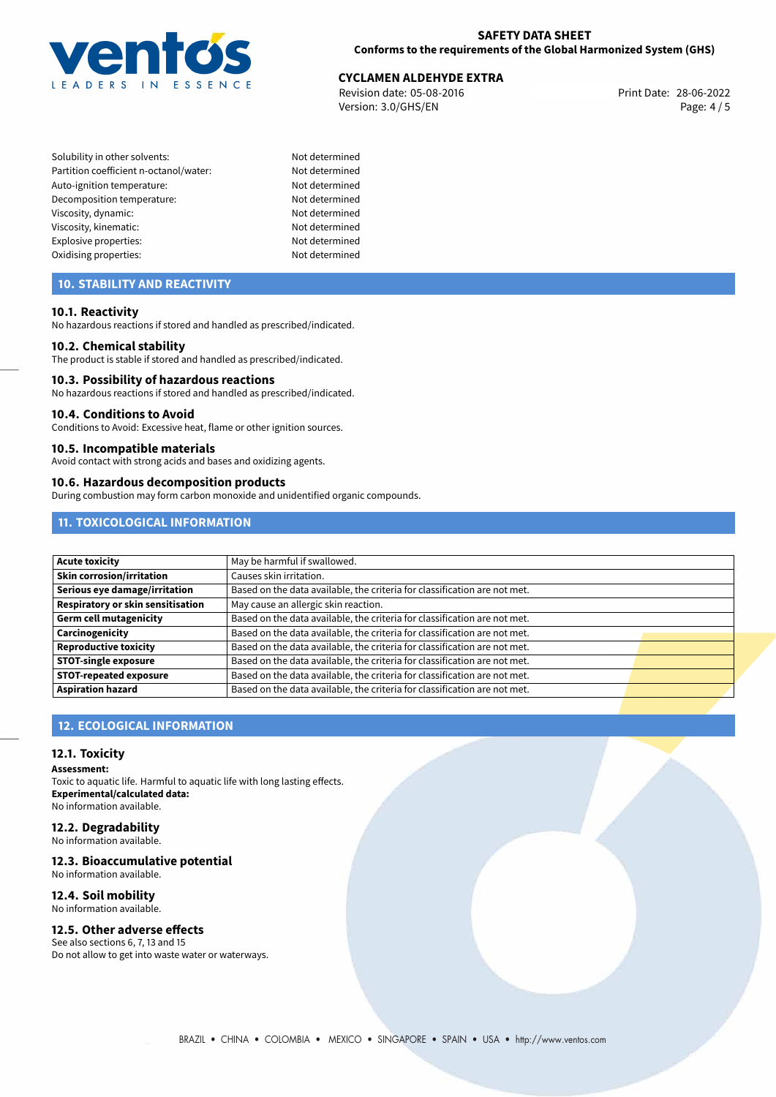

Revision date: 05-08-2016 Version: 3.0/GHS/EN Page: 4 / 5

Solubility in other solvents: Not determined Partition coefficient n-octanol/water: Not determined Auto-ignition temperature: Not determined Decomposition temperature: Not determined Viscosity, dynamic: Not determined Viscosity, kinematic: Not determined Explosive properties: Not determined Oxidising properties: Not determined

## **10. STABILITY AND REACTIVITY**

#### **10.1. Reactivity**

No hazardous reactions if stored and handled as prescribed/indicated.

#### **10.2. Chemical stability**

The product is stable if stored and handled as prescribed/indicated.

#### **10.3. Possibility of hazardous reactions**

No hazardous reactions if stored and handled as prescribed/indicated.

#### **10.4. Conditions to Avoid**

Conditions to Avoid: Excessive heat, flame or other ignition sources.

#### **10.5. Incompatible materials**

Avoid contact with strong acids and bases and oxidizing agents.

#### **10.6. Hazardous decomposition products**

During combustion may form carbon monoxide and unidentified organic compounds.

## **11. TOXICOLOGICAL INFORMATION**

| <b>Acute toxicity</b>             | May be harmful if swallowed.                                              |  |
|-----------------------------------|---------------------------------------------------------------------------|--|
| <b>Skin corrosion/irritation</b>  | Causes skin irritation.                                                   |  |
| Serious eye damage/irritation     | Based on the data available, the criteria for classification are not met. |  |
| Respiratory or skin sensitisation | May cause an allergic skin reaction.                                      |  |
| Germ cell mutagenicity            | Based on the data available, the criteria for classification are not met. |  |
| Carcinogenicity                   | Based on the data available, the criteria for classification are not met. |  |
| Reproductive toxicity             | Based on the data available, the criteria for classification are not met. |  |
| <b>STOT-single exposure</b>       | Based on the data available, the criteria for classification are not met. |  |
| <b>STOT-repeated exposure</b>     | Based on the data available, the criteria for classification are not met. |  |
| <b>Aspiration hazard</b>          | Based on the data available, the criteria for classification are not met. |  |

## **12. ECOLOGICAL INFORMATION**

#### **12.1. Toxicity**

**Assessment:**

Toxic to aquatic life. Harmful to aquatic life with long lasting effects. **Experimental/calculated data:** No information available.

# **12.2. Degradability**

No information available.

### **12.3. Bioaccumulative potential**

No information available.

## **12.4. Soil mobility**

No information available.

## **12.5. Other adverse effects**

See also sections 6, 7, 13 and 15 Do not allow to get into waste water or waterways.